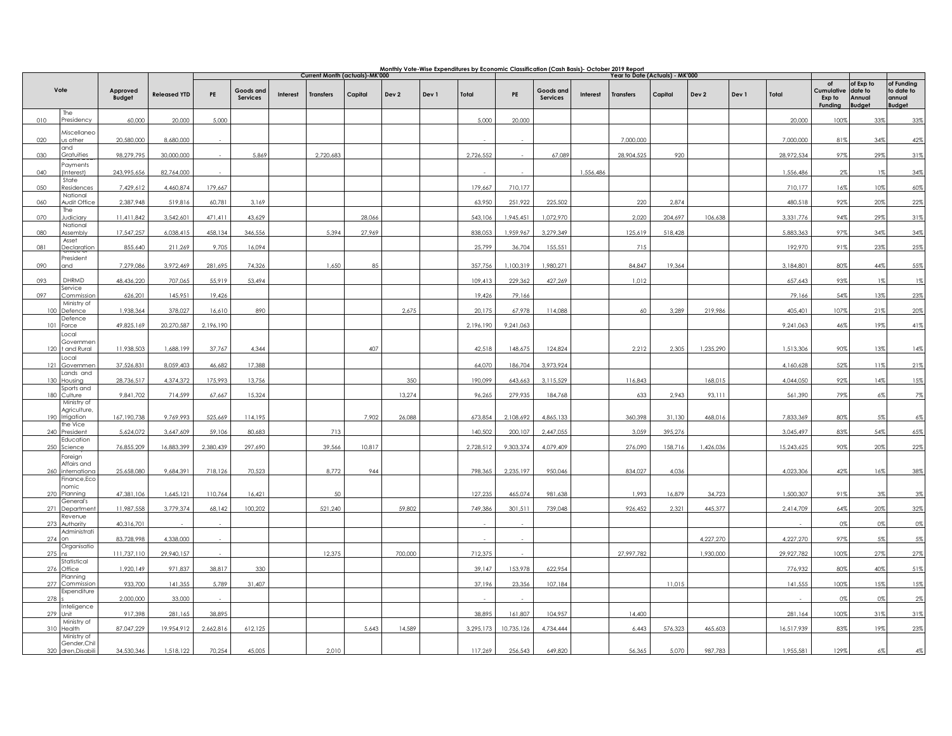| Vote       |                                    |                           |                         | Monthly Vote-Wise Expenditures by Economic Classification (Cash Basis)- October 2019 Report<br><b>Current Month (actuals)-MK'000</b><br>Year to Date (Actuals) - MK'000 |                       |          |                  |         |         |       |           |            |                              |           |                  |         |           |       |                      |                                       |                                                 |                                                     |
|------------|------------------------------------|---------------------------|-------------------------|-------------------------------------------------------------------------------------------------------------------------------------------------------------------------|-----------------------|----------|------------------|---------|---------|-------|-----------|------------|------------------------------|-----------|------------------|---------|-----------|-------|----------------------|---------------------------------------|-------------------------------------------------|-----------------------------------------------------|
|            |                                    | Approved<br><b>Budget</b> | <b>Released YTD</b>     | PE                                                                                                                                                                      | Goods and<br>Services | Interest | <b>Transfers</b> | Capital | Dev 2   | Dev 1 | Total     | PE         | Goods and<br><b>Services</b> | Interest  | <b>Transfers</b> | Capital | Dev 2     | Dev 1 | Total                | of<br>Cumulative<br>Exp to<br>Funding | of Exp to<br>date to<br>Annual<br><b>Budget</b> | of Funding<br>to date to<br>annual<br><b>Budget</b> |
| 010        | The<br>Presidency                  | 60,000                    | 20,000                  | 5,000                                                                                                                                                                   |                       |          |                  |         |         |       | 5,000     | 20,000     |                              |           |                  |         |           |       | 20,000               | 100%                                  | 33%                                             | 33%                                                 |
| 020        | Miscellaneo<br>ıs other            | 20,580,000                | 8,680,000               |                                                                                                                                                                         |                       |          |                  |         |         |       |           |            |                              |           | 7,000,000        |         |           |       | 7,000,000            | 81%                                   | 34%                                             | 42%                                                 |
| 030        | and<br>Gratuities                  | 98,279,795                | 30,000,000              | $\sim$                                                                                                                                                                  | 5,869                 |          | 2,720,683        |         |         |       | 2,726,552 | ÷.         | 67,089                       |           | 28,904,525       | 920     |           |       | 28,972,534           | 97%                                   | 29%                                             | 31%                                                 |
|            | Payments                           |                           |                         |                                                                                                                                                                         |                       |          |                  |         |         |       |           |            |                              |           |                  |         |           |       |                      |                                       |                                                 |                                                     |
| 040<br>050 | Interest)<br>State<br>Residences   | 243,995,656<br>7,429,612  | 82,764,000<br>4,460,874 | 179,667                                                                                                                                                                 |                       |          |                  |         |         |       | 179,667   | 710,177    |                              | 1,556,486 |                  |         |           |       | 1,556,486<br>710,177 | $2\%$<br>16%                          | 1%<br>10%                                       | 34%<br>60%                                          |
| 060        | National<br>Audit Office           | 2,387,948                 | 519,816                 | 60,781                                                                                                                                                                  | 3,169                 |          |                  |         |         |       | 63,950    | 251,922    | 225,502                      |           | 220              | 2,874   |           |       | 480,518              | 92%                                   | 20%                                             | 22%                                                 |
|            | The                                |                           |                         |                                                                                                                                                                         |                       |          |                  |         |         |       |           |            |                              |           |                  |         |           |       |                      |                                       |                                                 |                                                     |
| 070        | Judiciary<br>National              | 11,411,842                | 3,542,601               | 471,411                                                                                                                                                                 | 43,629                |          |                  | 28,066  |         |       | 543,106   | 1,945,451  | 1,072,970                    |           | 2,020            | 204,697 | 106,638   |       | 3,331,776            | 94%                                   | 29%                                             | 31%                                                 |
| 080        | Assembly<br>Asset                  | 17,547,257                | 6,038,415               | 458,134                                                                                                                                                                 | 346,556               |          | 5,394            | 27,969  |         |       | 838,053   | 1,959,967  | 3,279,349                    |           | 125,619          | 518,428 |           |       | 5,883,363            | 97%                                   | 34%                                             | 34%                                                 |
| 081        | <b>Declaration</b><br>President    | 855,640                   | 211,269                 | 9,705                                                                                                                                                                   | 16,094                |          |                  |         |         |       | 25,799    | 36,704     | 155,551                      |           | 715              |         |           |       | 192,970              | 91%                                   | 23%                                             | 25%                                                 |
| 090        | and                                | 7,279,086                 | 3,972,469               | 281,695                                                                                                                                                                 | 74,326                |          | 1,650            | 85      |         |       | 357.756   | 1,100,319  | 1,980,271                    |           | 84,847           | 19,364  |           |       | 3,184,801            | 80%                                   | 44%                                             | 55%                                                 |
| 093        | DHRMD<br>Service                   | 48,436,220                | 707,065                 | 55,919                                                                                                                                                                  | 53,494                |          |                  |         |         |       | 109,413   | 229,362    | 427,269                      |           | 1,012            |         |           |       | 657,643              | 93%                                   | 1%                                              | $1\%$                                               |
| 097        | Commissior<br>Ministry of          | 626,201                   | 145,951                 | 19,426                                                                                                                                                                  |                       |          |                  |         |         |       | 19,426    | 79,166     |                              |           |                  |         |           |       | 79,166               | 54%                                   | 13%                                             | 23%                                                 |
| 100        | Defence<br>Defence                 | 1,938,364                 | 378,027                 | 16,610                                                                                                                                                                  | 890                   |          |                  |         | 2,675   |       | 20,175    | 67,978     | 114,088                      |           | 60               | 3,289   | 219,986   |       | 405,401              | 107%                                  | 21%                                             | 20%                                                 |
| 101        | orce                               | 49,825,169                | 20,270,587              | 2,196,190                                                                                                                                                               |                       |          |                  |         |         |       | 2,196,190 | 9,241,063  |                              |           |                  |         |           |       | 9,241,063            | 46%                                   | 19%                                             | 41%                                                 |
|            | Local<br>Governmer                 |                           |                         |                                                                                                                                                                         |                       |          |                  |         |         |       |           |            |                              |           |                  |         |           |       |                      |                                       |                                                 |                                                     |
| 120        | t and Rural<br>ocal                | 11,938,503                | 1,688,199               | 37,767                                                                                                                                                                  | 4,344                 |          |                  | 407     |         |       | 42.518    | 148,675    | 124,824                      |           | 2,212            | 2,305   | 1,235,290 |       | 1,513,306            | 90%                                   | 13%                                             | 14%                                                 |
| 121        | Governmer<br>Lands and             | 37,526,831                | 8,059,403               | 46,682                                                                                                                                                                  | 17,388                |          |                  |         |         |       | 64,070    | 186,704    | 3,973,924                    |           |                  |         |           |       | 4,160,628            | 52%                                   | 11%                                             | 21%                                                 |
| 130        | Housina<br>Sports and              | 28.736.517                | 4.374.372               | 175.993                                                                                                                                                                 | 13.756                |          |                  |         | 350     |       | 190.099   | 643.663    | 3.115.529                    |           | 116,843          |         | 168,015   |       | 4.044.050            | 92%                                   | 14%                                             | 15%                                                 |
| 180        | Culture<br>Ministry of             | 9,841,702                 | 714,599                 | 67,667                                                                                                                                                                  | 15,324                |          |                  |         | 13,274  |       | 96,265    | 279,935    | 184,768                      |           | 633              | 2,943   | 93,111    |       | 561,390              | 79%                                   | 6%                                              | 7%                                                  |
| 190        | Agriculture,<br>Irrigation         | 167, 190, 738             | 9,769,993               | 525,669                                                                                                                                                                 | 114,195               |          |                  | 7,902   | 26,088  |       | 673,854   | 2,108,692  | 4,865,133                    |           | 360,398          | 31,130  | 468,016   |       | 7,833,369            | 80%                                   | 5%                                              | $6\%$                                               |
| 240        | the Vice<br>President              | 5,624,072                 | 3,647,609               | 59,106                                                                                                                                                                  | 80,683                |          | 713              |         |         |       | 140,502   | 200,107    | 2,447,055                    |           | 3,059            | 395,276 |           |       | 3,045,497            | 83%                                   | 54%                                             | 65%                                                 |
| 250        | Education<br>Science               | 76,855,209                | 16,883,399              | 2,380,439                                                                                                                                                               | 297,690               |          | 39,566           | 10,817  |         |       | 2,728,512 | 9,303,374  | 4,079,409                    |           | 276,090          | 158,716 | 1,426,036 |       | 15,243,625           | 90%                                   | 20%                                             | 22%                                                 |
|            | oreign<br>Affairs and              |                           |                         |                                                                                                                                                                         |                       |          |                  |         |         |       |           |            |                              |           |                  |         |           |       |                      |                                       |                                                 |                                                     |
| 260        | internationa<br>inance, Eco        | 25,658,080                | 9,684,391               | 718,126                                                                                                                                                                 | 70,523                |          | 8,772            | 944     |         |       | 798,365   | 2,235,197  | 950,046                      |           | 834,027          | 4,036   |           |       | 4,023,306            | 42%                                   | 16%                                             | 38%                                                 |
|            | nomic<br>270 Planning              | 47,381,106                | 1,645,121               | 110,764                                                                                                                                                                 | 16,421                |          | 50               |         |         |       | 127,235   | 465,074    | 981,638                      |           | 1,993            | 16,879  | 34,723    |       | 1,500,307            | 91%                                   | 3%                                              | 3%                                                  |
| 271        | General's<br>Departmen             | 11,987,558                | 3,779,374               | 68,142                                                                                                                                                                  | 100,202               |          | 521,240          |         | 59,802  |       | 749,386   | 301,511    | 739,048                      |           | 926,452          | 2,321   | 445,377   |       | 2,414,709            | 64%                                   | 20%                                             | 32%                                                 |
| 273        | Revenue<br>Authority               | 40,316,701                |                         |                                                                                                                                                                         |                       |          |                  |         |         |       |           |            |                              |           |                  |         |           |       |                      | 0%                                    | 0%                                              | $0\%$                                               |
|            | Administrati                       | 83,728,998                | 4,338,000               |                                                                                                                                                                         |                       |          |                  |         |         |       |           |            |                              |           |                  |         |           |       |                      | 97%                                   | 5%                                              |                                                     |
| 274        | <b>n</b><br>Organisatio            |                           |                         |                                                                                                                                                                         |                       |          |                  |         |         |       |           |            |                              |           |                  |         | 4,227,270 |       | 4,227,270            |                                       |                                                 | $5\%$                                               |
| 275        | ns<br>Statistical                  | 111,737,110               | 29,940,157              |                                                                                                                                                                         |                       |          | 12,375           |         | 700,000 |       | 712,375   |            |                              |           | 27,997,782       |         | 1,930,000 |       | 29,927,782           | 100%                                  | 27%                                             | 27%                                                 |
| 276        | Office<br>Planning                 | 1,920,149                 | 971,837                 | 38,817                                                                                                                                                                  | 330                   |          |                  |         |         |       | 39,147    | 153,978    | 622,954                      |           |                  |         |           |       | 776,932              | 80%                                   | 40%                                             | 51%                                                 |
| 277        | Commission<br>Expenditure          | 933,700                   | 141,355                 | 5,789                                                                                                                                                                   | 31,407                |          |                  |         |         |       | 37,196    | 23,356     | 107,184                      |           |                  | 11,015  |           |       | 141,555              | 100%                                  | 15%                                             | 15%                                                 |
| 278        | nteligence                         | 2,000,000                 | 33,000                  |                                                                                                                                                                         |                       |          |                  |         |         |       |           |            |                              |           |                  |         |           |       |                      | 0%                                    | 0%                                              | $2\%$                                               |
| 279        | Unit<br>Ministry of                | 917,398                   | 281,165                 | 38,895                                                                                                                                                                  |                       |          |                  |         |         |       | 38,895    | 161,807    | 104,957                      |           | 14,400           |         |           |       | 281,164              | 100%                                  | 31%                                             | 31%                                                 |
| 310        | Health<br>Ministry of              | 87,047,229                | 19,954,912              | 2,662,816                                                                                                                                                               | 612,125               |          |                  | 5,643   | 14,589  |       | 3,295,173 | 10,735,126 | 4,734,444                    |           | 6,443            | 576,323 | 465,603   |       | 16,517,939           | 83%                                   | 19%                                             | 23%                                                 |
|            | Gender, Chil<br>320 dren, Disabili | 34,530,346                | 1,518,122               | 70,254                                                                                                                                                                  | 45.005                |          | 2,010            |         |         |       | 117,269   | 256,543    | 649.820                      |           | 56.365           | 5,070   | 987.783   |       | 1.955.581            | 129%                                  | 6%                                              | 4%                                                  |